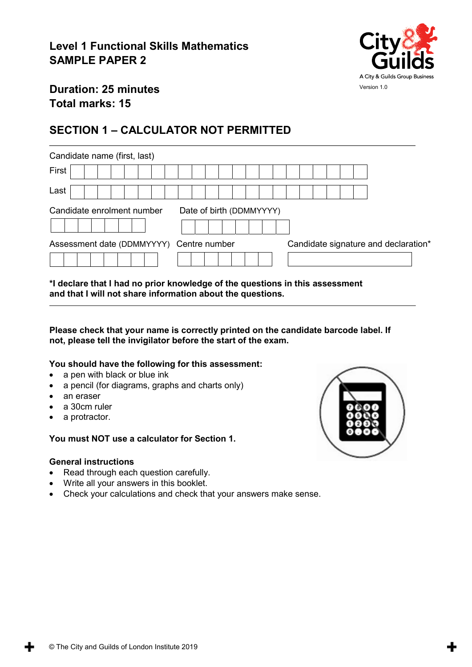

### Duration: 25 minutes Total marks: 15

## SECTION 1 – CALCULATOR NOT PERMITTED

| Candidate name (first, last)             |  |  |  |  |  |  |  |                          |  |  |  |  |  |                                      |  |
|------------------------------------------|--|--|--|--|--|--|--|--------------------------|--|--|--|--|--|--------------------------------------|--|
| First                                    |  |  |  |  |  |  |  |                          |  |  |  |  |  |                                      |  |
| Last                                     |  |  |  |  |  |  |  |                          |  |  |  |  |  |                                      |  |
| Candidate enrolment number               |  |  |  |  |  |  |  | Date of birth (DDMMYYYY) |  |  |  |  |  |                                      |  |
|                                          |  |  |  |  |  |  |  |                          |  |  |  |  |  |                                      |  |
| Assessment date (DDMMYYYY) Centre number |  |  |  |  |  |  |  |                          |  |  |  |  |  | Candidate signature and declaration* |  |
|                                          |  |  |  |  |  |  |  |                          |  |  |  |  |  |                                      |  |

\*I declare that I had no prior knowledge of the questions in this assessment and that I will not share information about the questions.

#### Please check that your name is correctly printed on the candidate barcode label. If not, please tell the invigilator before the start of the exam.

#### You should have the following for this assessment:

- a pen with black or blue ink
- a pencil (for diagrams, graphs and charts only)
- an eraser
- a 30cm ruler
- a protractor.

#### You must NOT use a calculator for Section 1.

#### General instructions

- Read through each question carefully.
- Write all your answers in this booklet.
- Check your calculations and check that your answers make sense.

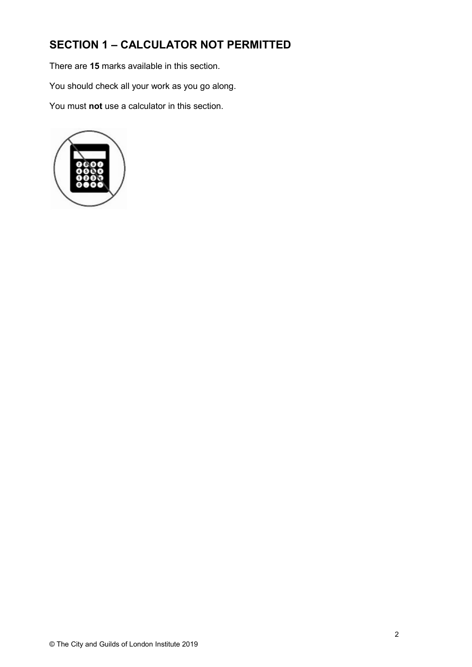# SECTION 1 – CALCULATOR NOT PERMITTED

There are 15 marks available in this section.

You should check all your work as you go along.

You must not use a calculator in this section.

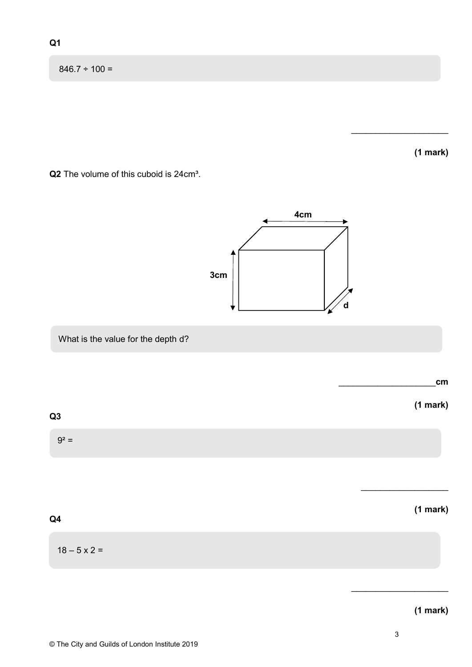$846.7 \div 100 =$ 

 $\overline{\phantom{a}}$  , where  $\overline{\phantom{a}}$ 



What is the value for the depth d?

 $cm$ 

d

4cm

(1 mark)

| . .<br>.,<br>×<br>×<br>۰.<br>×.<br>M.<br>v<br>۰.<br>v. |
|--------------------------------------------------------|
|--------------------------------------------------------|

Q4

3cm

| $\mathbf{4}$        |  |  |  |
|---------------------|--|--|--|
| $18 - 5 \times 2 =$ |  |  |  |

(1 mark)

 $\overline{\phantom{a}}$  , where  $\overline{\phantom{a}}$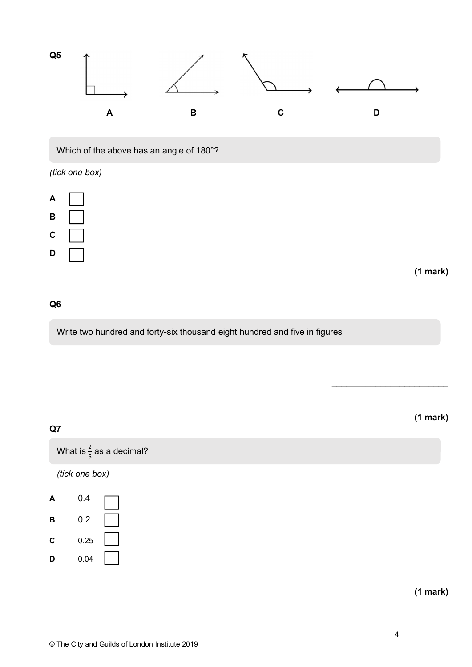

Which of the above has an angle of 180°?

(tick one box)



(1 mark)

(1 mark)

### Q6

Write two hundred and forty-six thousand eight hundred and five in figures

Q7

What is  $\frac{2}{5}$  as a decimal?

(tick one box)

A 0.4 B 0.2 C 0.25 D 0.04

(1 mark)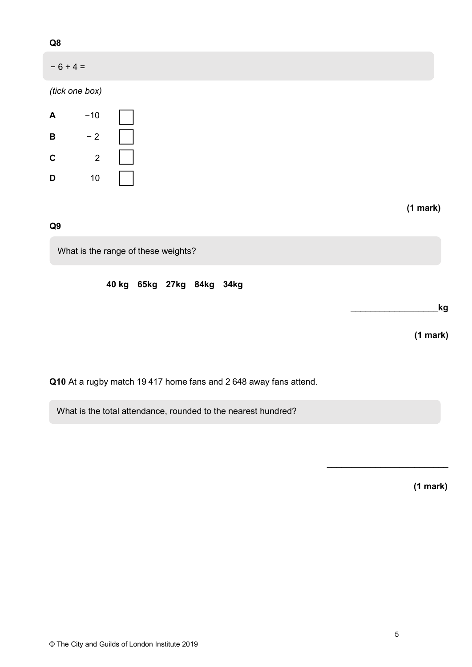| Q8                                     |                           |  |  |          |
|----------------------------------------|---------------------------|--|--|----------|
| $-6 + 4 =$                             |                           |  |  |          |
| (tick one box)                         |                           |  |  |          |
| $-10$<br>A                             |                           |  |  |          |
| $-2$<br>B                              |                           |  |  |          |
| $\overline{\mathbf{2}}$<br>$\mathbf C$ |                           |  |  |          |
| $10\,$<br>D                            |                           |  |  |          |
|                                        |                           |  |  | (1 mark) |
| Q9                                     |                           |  |  |          |
| What is the range of these weights?    |                           |  |  |          |
|                                        | 40 kg 65kg 27kg 84kg 34kg |  |  |          |
|                                        |                           |  |  | kg       |
|                                        |                           |  |  | (1 mark) |

Q10 At a rugby match 19 417 home fans and 2 648 away fans attend.

What is the total attendance, rounded to the nearest hundred?

(1 mark)

 $\overline{\phantom{a}}$  , where  $\overline{\phantom{a}}$  , where  $\overline{\phantom{a}}$  , where  $\overline{\phantom{a}}$ 

5